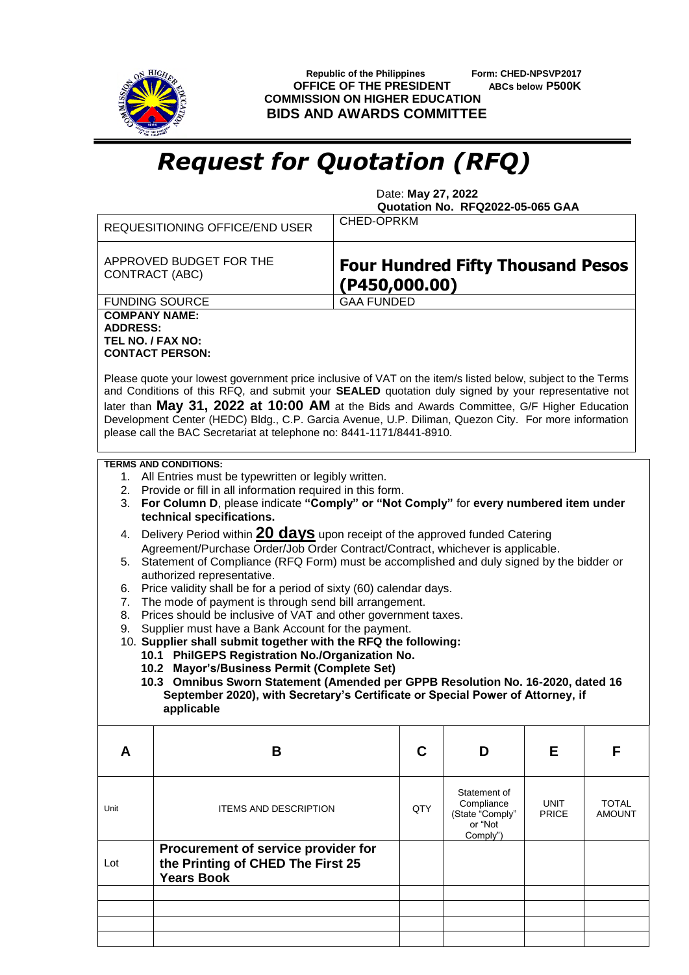

 **Republic of the Philippines Form: CHED-NPSVP2017 OFFICE OF THE PRESIDENT ABCs below P500K COMMISSION ON HIGHER EDUCATION BIDS AND AWARDS COMMITTEE**

## *Request for Quotation (RFQ)*

 Date: **May 27, 2022 Quotation No. RFQ2022-05-065 GAA**

| REQUESITIONING OFFICE/END USER                                                                                                                                                                                                                                                                                                                                                                                                                                                                                                                                                                                                                                                                                                                                                                                                                                                                                                                                           | <b>CHED-OPRKM</b>                                         |                                                                      |                      |                               |
|--------------------------------------------------------------------------------------------------------------------------------------------------------------------------------------------------------------------------------------------------------------------------------------------------------------------------------------------------------------------------------------------------------------------------------------------------------------------------------------------------------------------------------------------------------------------------------------------------------------------------------------------------------------------------------------------------------------------------------------------------------------------------------------------------------------------------------------------------------------------------------------------------------------------------------------------------------------------------|-----------------------------------------------------------|----------------------------------------------------------------------|----------------------|-------------------------------|
| APPROVED BUDGET FOR THE<br><b>CONTRACT (ABC)</b>                                                                                                                                                                                                                                                                                                                                                                                                                                                                                                                                                                                                                                                                                                                                                                                                                                                                                                                         | <b>Four Hundred Fifty Thousand Pesos</b><br>(P450,000.00) |                                                                      |                      |                               |
| <b>FUNDING SOURCE</b><br><b>COMPANY NAME:</b><br><b>ADDRESS:</b><br>TEL NO. / FAX NO:<br><b>CONTACT PERSON:</b>                                                                                                                                                                                                                                                                                                                                                                                                                                                                                                                                                                                                                                                                                                                                                                                                                                                          | <b>GAA FUNDED</b>                                         |                                                                      |                      |                               |
| Please quote your lowest government price inclusive of VAT on the item/s listed below, subject to the Terms<br>and Conditions of this RFQ, and submit your SEALED quotation duly signed by your representative not<br>later than May 31, 2022 at 10:00 AM at the Bids and Awards Committee, G/F Higher Education<br>Development Center (HEDC) Bldg., C.P. Garcia Avenue, U.P. Diliman, Quezon City. For more information<br>please call the BAC Secretariat at telephone no: 8441-1171/8441-8910.                                                                                                                                                                                                                                                                                                                                                                                                                                                                        |                                                           |                                                                      |                      |                               |
| <b>TERMS AND CONDITIONS:</b><br>1. All Entries must be typewritten or legibly written.<br>2. Provide or fill in all information required in this form.<br>3. For Column D, please indicate "Comply" or "Not Comply" for every numbered item under                                                                                                                                                                                                                                                                                                                                                                                                                                                                                                                                                                                                                                                                                                                        |                                                           |                                                                      |                      |                               |
| technical specifications.<br>4. Delivery Period within <b>20 days</b> upon receipt of the approved funded Catering<br>Agreement/Purchase Order/Job Order Contract/Contract, whichever is applicable.<br>Statement of Compliance (RFQ Form) must be accomplished and duly signed by the bidder or<br>5.<br>authorized representative.<br>Price validity shall be for a period of sixty (60) calendar days.<br>6.<br>The mode of payment is through send bill arrangement.<br>7.<br>Prices should be inclusive of VAT and other government taxes.<br>8.<br>Supplier must have a Bank Account for the payment.<br>9.<br>10. Supplier shall submit together with the RFQ the following:<br>10.1 PhilGEPS Registration No./Organization No.<br>10.2 Mayor's/Business Permit (Complete Set)<br>10.3 Omnibus Sworn Statement (Amended per GPPB Resolution No. 16-2020, dated 16<br>September 2020), with Secretary's Certificate or Special Power of Attorney, if<br>applicable |                                                           |                                                                      |                      |                               |
| B<br>A                                                                                                                                                                                                                                                                                                                                                                                                                                                                                                                                                                                                                                                                                                                                                                                                                                                                                                                                                                   | C                                                         | D                                                                    | Е                    | F                             |
| <b>ITEMS AND DESCRIPTION</b><br>Unit                                                                                                                                                                                                                                                                                                                                                                                                                                                                                                                                                                                                                                                                                                                                                                                                                                                                                                                                     | QTY                                                       | Statement of<br>Compliance<br>(State "Comply"<br>or "Not<br>Comply") | <b>UNIT</b><br>PRICE | <b>TOTAL</b><br><b>AMOUNT</b> |
| Procurement of service provider for<br>the Printing of CHED The First 25<br>Lot<br><b>Years Book</b>                                                                                                                                                                                                                                                                                                                                                                                                                                                                                                                                                                                                                                                                                                                                                                                                                                                                     |                                                           |                                                                      |                      |                               |
|                                                                                                                                                                                                                                                                                                                                                                                                                                                                                                                                                                                                                                                                                                                                                                                                                                                                                                                                                                          |                                                           |                                                                      |                      |                               |
|                                                                                                                                                                                                                                                                                                                                                                                                                                                                                                                                                                                                                                                                                                                                                                                                                                                                                                                                                                          |                                                           |                                                                      |                      |                               |
|                                                                                                                                                                                                                                                                                                                                                                                                                                                                                                                                                                                                                                                                                                                                                                                                                                                                                                                                                                          |                                                           |                                                                      |                      |                               |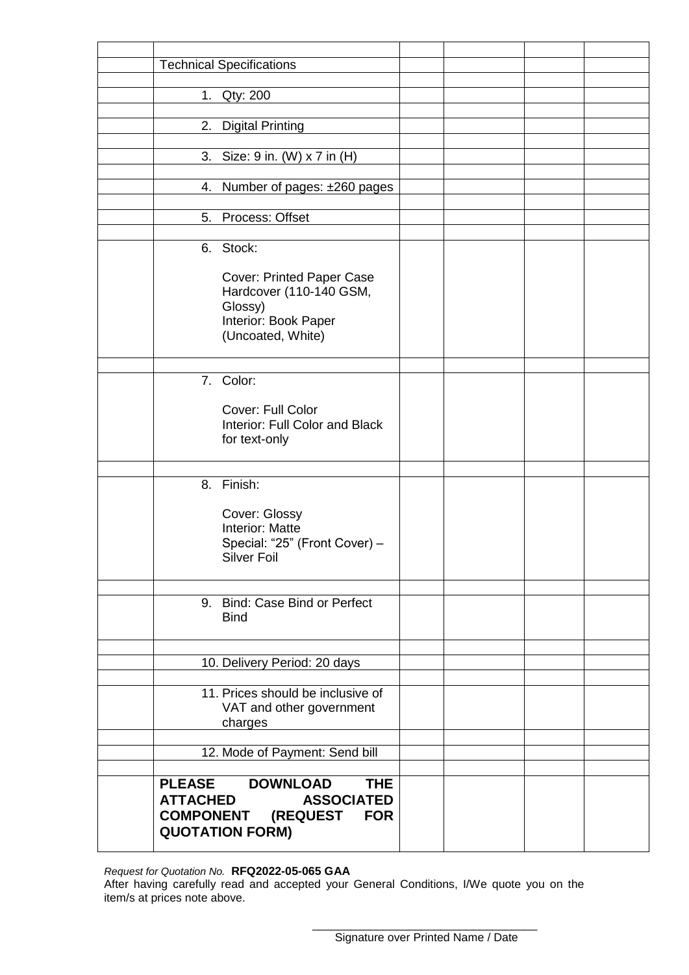| <b>Technical Specifications</b>                     |  |  |
|-----------------------------------------------------|--|--|
|                                                     |  |  |
| 1. Qty: 200                                         |  |  |
|                                                     |  |  |
| 2.<br><b>Digital Printing</b>                       |  |  |
| 3. Size: 9 in. (W) x 7 in (H)                       |  |  |
|                                                     |  |  |
| 4. Number of pages: ±260 pages                      |  |  |
|                                                     |  |  |
| Process: Offset<br>5.                               |  |  |
|                                                     |  |  |
| 6. Stock:                                           |  |  |
| <b>Cover: Printed Paper Case</b>                    |  |  |
| Hardcover (110-140 GSM,                             |  |  |
| Glossy)                                             |  |  |
| Interior: Book Paper                                |  |  |
| (Uncoated, White)                                   |  |  |
|                                                     |  |  |
| 7. Color:                                           |  |  |
|                                                     |  |  |
| Cover: Full Color                                   |  |  |
| Interior: Full Color and Black                      |  |  |
| for text-only                                       |  |  |
|                                                     |  |  |
| 8. Finish:                                          |  |  |
|                                                     |  |  |
| Cover: Glossy                                       |  |  |
| <b>Interior: Matte</b>                              |  |  |
| Special: "25" (Front Cover) -<br><b>Silver Foil</b> |  |  |
|                                                     |  |  |
|                                                     |  |  |
| 9. Bind: Case Bind or Perfect                       |  |  |
| <b>Bind</b>                                         |  |  |
|                                                     |  |  |
|                                                     |  |  |
| 10. Delivery Period: 20 days                        |  |  |
| 11. Prices should be inclusive of                   |  |  |
| VAT and other government                            |  |  |
| charges                                             |  |  |
|                                                     |  |  |
| 12. Mode of Payment: Send bill                      |  |  |
| <b>THE</b><br><b>PLEASE</b><br><b>DOWNLOAD</b>      |  |  |
| <b>ATTACHED</b><br><b>ASSOCIATED</b>                |  |  |
| <b>COMPONENT (REQUEST</b><br><b>FOR</b>             |  |  |
| <b>QUOTATION FORM)</b>                              |  |  |
|                                                     |  |  |

*Request for Quotation No.* **RFQ2022-05-065 GAA**

After having carefully read and accepted your General Conditions, I/We quote you on the item/s at prices note above.